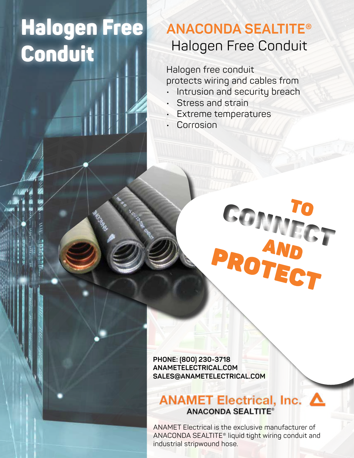# Halogen Free Conduit

## **ANACONDA SEALTITE®** Halogen Free Conduit

Halogen free conduit protects wiring and cables from

- Intrusion and security breach
- Stress and strain
- Extreme temperatures
- Corrosion

**PHONE: (800) 230-3718 ANAMETELECTRICAL.COM SALES@ANAMETELECTRICAL.COM**

### ANAMET Electrical, Inc. △ **ANACONDA SEALTITE®**

COMMOT

ANAMET Electrical is the exclusive manufacturer of ANACONDA SEALTITE® liquid tight wiring conduit and industrial stripwound hose.